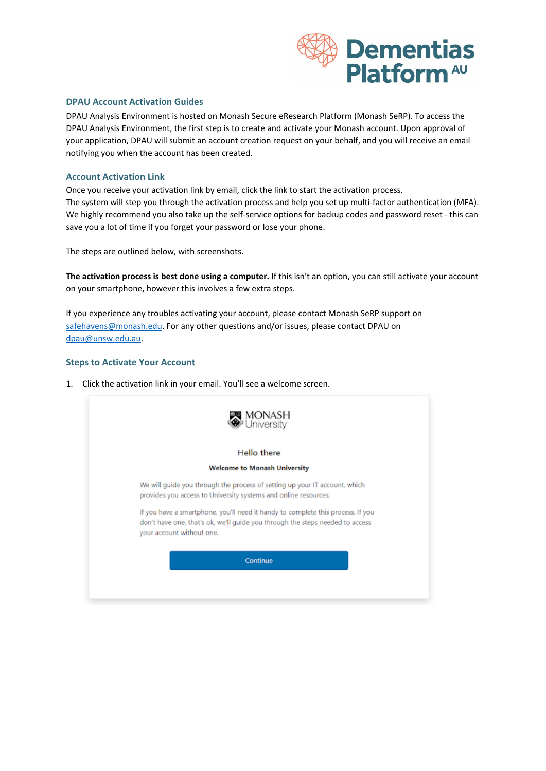

### **DPAU Account Activation Guides**

DPAU Analysis Environment is hosted on Monash Secure eResearch Platform (Monash SeRP). To access the DPAU Analysis Environment, the first step is to create and activate your Monash account. Upon approval of your application, DPAU will submit an account creation request on your behalf, and you will receive an email notifying you when the account has been created.

### **Account Activation Link**

Once you receive your activation link by email, click the link to start the activation process. The system will step you through the activation process and help you set up multi-factor authentication (MFA). We highly recommend you also take up the self-service options for backup codes and password reset - this can save you a lot of time if you forget your password or lose your phone.

The steps are outlined below, with screenshots.

**The activation process is best done using a computer.** If this isn't an option, you can still activate your account on your smartphone, however this involves a few extra steps.

If you experience any troubles activating your account, please contact Monash SeRP support on [safehavens@monash.edu.](mailto:safehavens@monash.edu) For any other questions and/or issues, please contact DPAU on [dpau@unsw.edu.au.](mailto:dpau@unsw.edu.au)

### **Steps to Activate Your Account**

1. Click the activation link in your email. You'll see a welcome screen.

| Hello there                                                                                                                                                                                   |  |
|-----------------------------------------------------------------------------------------------------------------------------------------------------------------------------------------------|--|
| <b>Welcome to Monash University</b>                                                                                                                                                           |  |
| We will guide you through the process of setting up your IT account, which<br>provides you access to University systems and online resources.                                                 |  |
| If you have a smartphone, you'll need it handy to complete this process. If you<br>don't have one, that's ok, we'll quide you through the steps needed to access<br>your account without one. |  |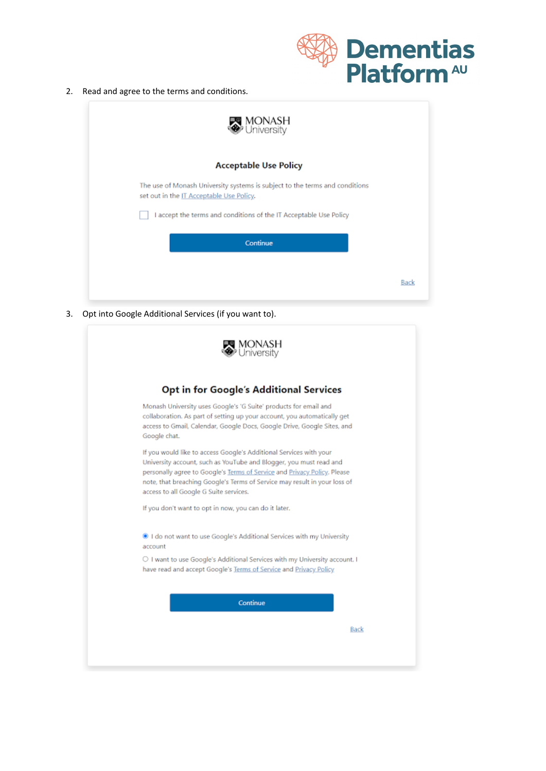

2. Read and agree to the terms and conditions.

| <b>™</b> MONASH<br>❤ University                                             |                                          |
|-----------------------------------------------------------------------------|------------------------------------------|
| <b>Acceptable Use Policy</b>                                                |                                          |
| The use of Monash University systems is subject to the terms and conditions | set out in the IT Acceptable Use Policy. |
| I accept the terms and conditions of the IT Acceptable Use Policy           |                                          |
| Continue                                                                    |                                          |
| Back                                                                        |                                          |
|                                                                             |                                          |

3. Opt into Google Additional Services (if you want to).

| <b>Opt in for Google's Additional Services</b>                                                                                                                                                                                                                                                                                              |  |
|---------------------------------------------------------------------------------------------------------------------------------------------------------------------------------------------------------------------------------------------------------------------------------------------------------------------------------------------|--|
| Monash University uses Google's 'G Suite' products for email and<br>collaboration. As part of setting up your account, you automatically get<br>access to Gmail, Calendar, Google Docs, Google Drive, Google Sites, and<br>Google chat.                                                                                                     |  |
| If you would like to access Google's Additional Services with your<br>University account, such as YouTube and Blogger, you must read and<br>personally agree to Google's Terms of Service and Privacy Policy. Please<br>note, that breaching Google's Terms of Service may result in your loss of<br>access to all Google G Suite services. |  |
| If you don't want to opt in now, you can do it later.                                                                                                                                                                                                                                                                                       |  |
| I do not want to use Google's Additional Services with my University<br>account                                                                                                                                                                                                                                                             |  |
| ○ I want to use Google's Additional Services with my University account. I<br>have read and accept Google's Terms of Service and Privacy Policy.                                                                                                                                                                                            |  |
| Continue                                                                                                                                                                                                                                                                                                                                    |  |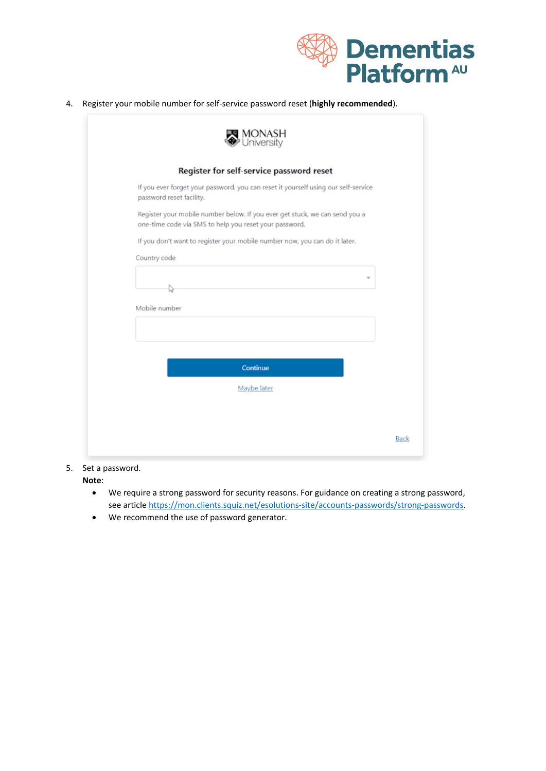

4. Register your mobile number for self-service password reset (**highly recommended**).

|                          | Register for self-service password reset                                                                                              |
|--------------------------|---------------------------------------------------------------------------------------------------------------------------------------|
| password reset facility. | If you ever forget your password, you can reset it yourself using our self-service                                                    |
|                          | Register your mobile number below. If you ever get stuck, we can send you a<br>one-time code via SMS to help you reset your password. |
|                          | If you don't want to register your mobile number now, you can do it later.                                                            |
| Country code             |                                                                                                                                       |
| D                        |                                                                                                                                       |
| Mobile number            |                                                                                                                                       |
|                          |                                                                                                                                       |
|                          |                                                                                                                                       |
|                          | Continue                                                                                                                              |
|                          | Maybe later                                                                                                                           |
|                          |                                                                                                                                       |

## 5. Set a password.

**Note**:

- We require a strong password for security reasons. For guidance on creating a strong password, see article [https://mon.clients.squiz.net/esolutions-site/accounts-passwords/strong-passwords.](https://mon.clients.squiz.net/esolutions-site/accounts-passwords/strong-passwords)
- We recommend the use of password generator.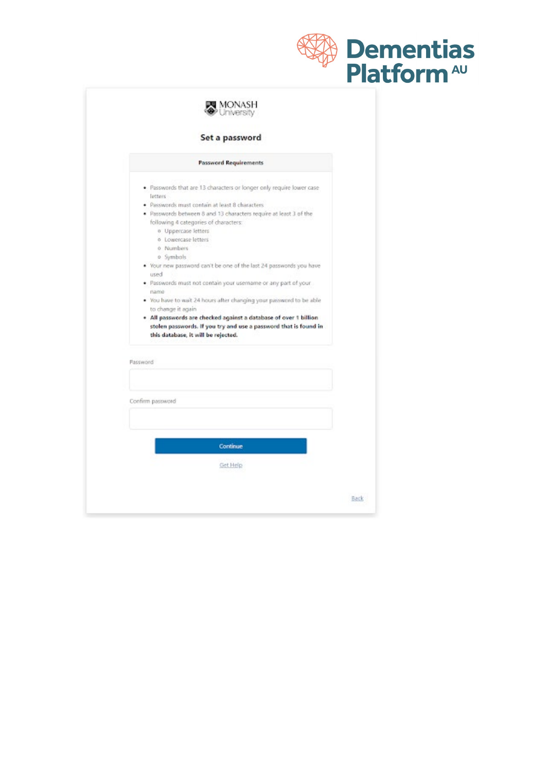|                                                                                                                                                                             | <b>Dementias</b><br>Platform <sup>AU</sup> |
|-----------------------------------------------------------------------------------------------------------------------------------------------------------------------------|--------------------------------------------|
| <b>MONASH</b><br>Wuniversity                                                                                                                                                |                                            |
|                                                                                                                                                                             |                                            |
| Set a password                                                                                                                                                              |                                            |
| <b>Password Requirements</b>                                                                                                                                                |                                            |
| . Passwords that are 13 characters or longer only require lower case                                                                                                        |                                            |
| letters<br>· Passwords must contain at least 8 characters                                                                                                                   |                                            |
| . Passwords between 8 and 13 characters require at least 3 of the                                                                                                           |                                            |
| following 4 categories of characters:                                                                                                                                       |                                            |
| o Uppercase letters<br>o Lowercase letters                                                                                                                                  |                                            |
| 0 Numbers                                                                                                                                                                   |                                            |
| o Symbols                                                                                                                                                                   |                                            |
| . Your new password can't be one of the last 24 passwords you have                                                                                                          |                                            |
| used<br>. Passwords must not contain your username or any part of your                                                                                                      |                                            |
| name                                                                                                                                                                        |                                            |
| . You have to wait 24 hours after changing your password to be able                                                                                                         |                                            |
| to change it again.                                                                                                                                                         |                                            |
| . All passwords are checked against a database of over 1 billion<br>stolen passwords. If you try and use a password that is found in<br>this database, it will be rejected. |                                            |
| Password                                                                                                                                                                    |                                            |
|                                                                                                                                                                             |                                            |
| Confirm password                                                                                                                                                            |                                            |
|                                                                                                                                                                             |                                            |
|                                                                                                                                                                             |                                            |
| Continue                                                                                                                                                                    |                                            |
| Get Help                                                                                                                                                                    |                                            |
|                                                                                                                                                                             |                                            |
|                                                                                                                                                                             | Back                                       |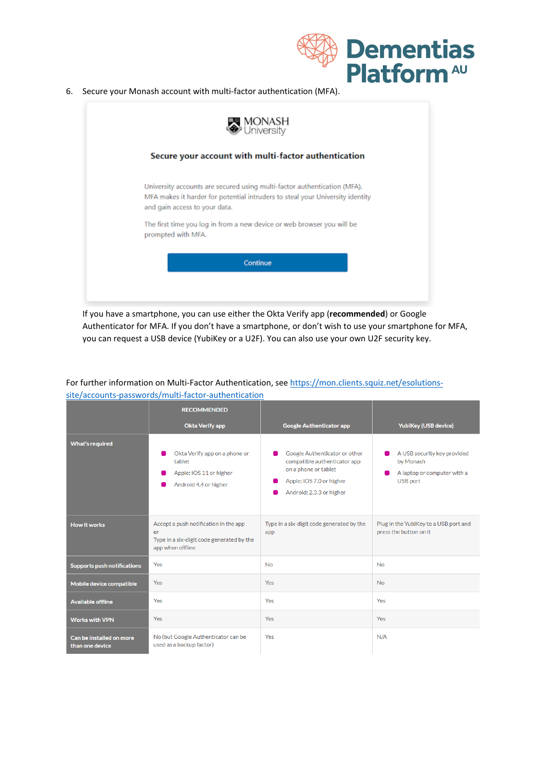

6. Secure your Monash account with multi-factor authentication (MFA).



If you have a smartphone, you can use either the Okta Verify app (**recommended**) or Google Authenticator for MFA. If you don't have a smartphone, or don't wish to use your smartphone for MFA, you can request a USB device (YubiKey or a U2F). You can also use your own U2F security key.

# For further information on Multi-Factor Authentication, se[e https://mon.clients.squiz.net/esolutions](https://mon.clients.squiz.net/esolutions-site/accounts-passwords/multi-factor-authentication)[site/accounts-passwords/multi-factor-authentication](https://mon.clients.squiz.net/esolutions-site/accounts-passwords/multi-factor-authentication)

|                                             | <b>RECOMMENDED</b>                                                                                           |                                                                                                                                               |                                                                                            |
|---------------------------------------------|--------------------------------------------------------------------------------------------------------------|-----------------------------------------------------------------------------------------------------------------------------------------------|--------------------------------------------------------------------------------------------|
|                                             | <b>Okta Verify app</b>                                                                                       | <b>Google Authenticator app</b>                                                                                                               | <b>YubiKey (USB device)</b>                                                                |
| <b>What's required</b>                      | Okta Verify app on a phone or<br>tablet<br>Apple: iOS 11 or higher<br>Android 4.4 or higher                  | Google Authenticator or other<br>compatible authenticator app<br>on a phone or tablet<br>Apple: iOS 7.0 or higher<br>Android: 2.3.3 or higher | A USB security key provided<br>by Monash<br>A laptop or computer with a<br><b>USB port</b> |
| <b>How it works</b>                         | Accept a push notification in the app<br>or<br>Type in a six-digit code generated by the<br>app when offline | Type in a six-digit code generated by the<br>app                                                                                              | Plug in the YubiKey to a USB port and<br>press the button on it                            |
| <b>Supports push notifications</b>          | <b>Yes</b>                                                                                                   | <b>No</b>                                                                                                                                     | <b>No</b>                                                                                  |
| Mobile device compatible                    | Yes                                                                                                          | Yes                                                                                                                                           | <b>No</b>                                                                                  |
| <b>Available offline</b>                    | Yes                                                                                                          | Yes                                                                                                                                           | Yes                                                                                        |
| <b>Works with VPN</b>                       | Yes                                                                                                          | Yes                                                                                                                                           | Yes                                                                                        |
| Can be installed on more<br>than one device | No (but Google Authenticator can be<br>used as a backup factor)                                              | Yes                                                                                                                                           | N/A                                                                                        |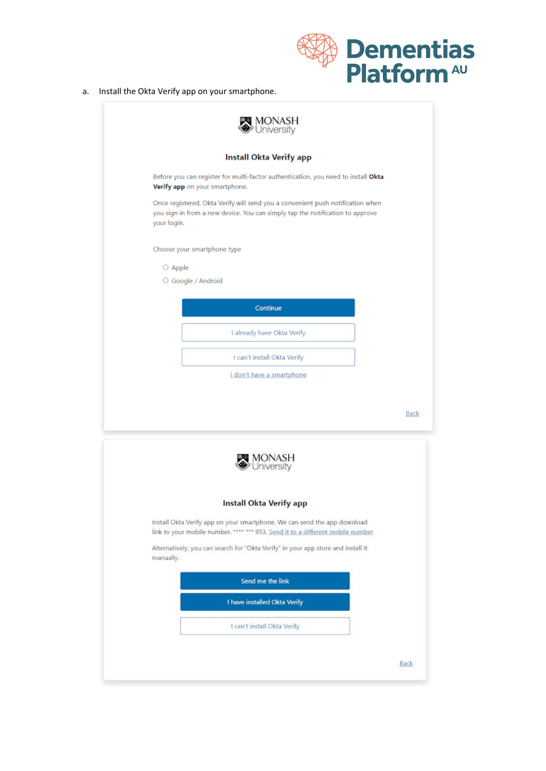

a. Install the Okta Verify app on your smartphone.

| Install Okta Verify app                                                                                                                                                                                                 |  |
|-------------------------------------------------------------------------------------------------------------------------------------------------------------------------------------------------------------------------|--|
| Before you can register for multi-factor authentication, you need to install Okta<br>Verify app on your smartphone.                                                                                                     |  |
| Once registered, Okta Verify will send you a convenient push notification when<br>you sign in from a new device. You can simply tap the notification to approve<br>your login.                                          |  |
| Choose your smartphone type                                                                                                                                                                                             |  |
| O Apple                                                                                                                                                                                                                 |  |
| ○ Google / Android                                                                                                                                                                                                      |  |
| Continue                                                                                                                                                                                                                |  |
| I already have Okta Verify                                                                                                                                                                                              |  |
|                                                                                                                                                                                                                         |  |
| I can't install Okta Verify                                                                                                                                                                                             |  |
| I don't have a smartphone                                                                                                                                                                                               |  |
|                                                                                                                                                                                                                         |  |
| <b>W</b> MONASH<br>Viniversity<br>Install Okta Verify app<br>Install Okta Verify app on your smartphone. We can send the app download<br>link to your mobile number. **** *** 953. Send it to a different mobile number |  |
| Alternatively, you can search for "Okta Verify" in your app store and install it<br>manually.                                                                                                                           |  |
| Send me the link                                                                                                                                                                                                        |  |
| I have installed Okta Verify                                                                                                                                                                                            |  |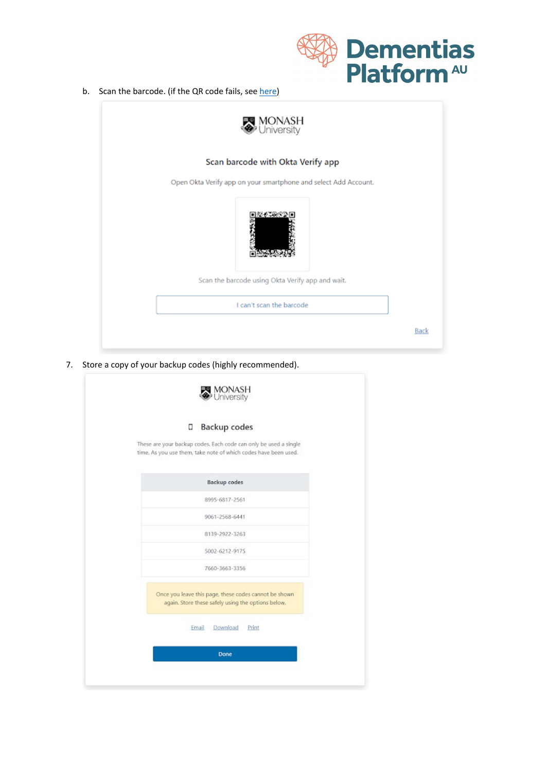

b. Scan the barcode. (if the QR code fails, see [here\)](https://www.dementiasplatform.com.au/sites/default/files/documents/FAQ_QR_code_fails.pdf)



7. Store a copy of your backup codes (highly recommended).

| Ο     | Backup codes                                                                                                                        |
|-------|-------------------------------------------------------------------------------------------------------------------------------------|
|       | These are your backup codes. Each code can only be used a single<br>time. As you use them, take note of which codes have been used. |
|       | <b>Backup</b> codes                                                                                                                 |
|       | 8995-6817-2561                                                                                                                      |
|       | 9061-2568-6441                                                                                                                      |
|       | 8139-2922-3263                                                                                                                      |
|       | 5002-6212-9175                                                                                                                      |
|       | 7660-3663-3356                                                                                                                      |
|       | Once you leave this page, these codes cannot be shown<br>again. Store these safely using the options below.                         |
| Email | Download Print                                                                                                                      |
|       | Done                                                                                                                                |